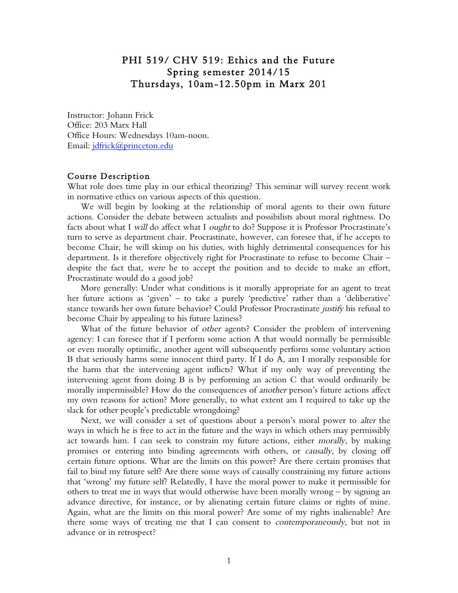# PHI 519/ CHV 519: Ethics and the Future Spring semester 2014/15 Thursdays, 10am-12.50pm in Marx 201

Instructor: Johann Frick Office: 203 Marx Hall Office Hours: Wednesdays 10am-noon. Email: jdfrick@princeton.edu

#### Course Description

What role does time play in our ethical theorizing? This seminar will survey recent work in normative ethics on various aspects of this question.

We will begin by looking at the relationship of moral agents to their own future actions. Consider the debate between actualists and possibilists about moral rightness. Do facts about what I will do affect what I *ought* to do? Suppose it is Professor Procrastinate's turn to serve as department chair. Procrastinate, however, can foresee that, if he accepts to become Chair, he will skimp on his duties, with highly detrimental consequences for his department. Is it therefore objectively right for Procrastinate to refuse to become Chair – despite the fact that, were he to accept the position and to decide to make an effort, Procrastinate would do a good job?

More generally: Under what conditions is it morally appropriate for an agent to treat her future actions as 'given' – to take a purely 'predictive' rather than a 'deliberative' stance towards her own future behavior? Could Professor Procrastinate justify his refusal to become Chair by appealing to his future laziness?

What of the future behavior of other agents? Consider the problem of intervening agency: I can foresee that if I perform some action A that would normally be permissible or even morally optimific, another agent will subsequently perform some voluntary action B that seriously harms some innocent third party. If I do A, am I morally responsible for the harm that the intervening agent inflicts? What if my only way of preventing the intervening agent from doing B is by performing an action C that would ordinarily be morally impermissible? How do the consequences of *another* person's future actions affect my own reasons for action? More generally, to what extent am I required to take up the slack for other people's predictable wrongdoing?

Next, we will consider a set of questions about a person's moral power to alter the ways in which he is free to act in the future and the ways in which others may permissibly act towards him. I can seek to constrain my future actions, either morally, by making promises or entering into binding agreements with others, or causally, by closing off certain future options. What are the limits on this power? Are there certain promises that fail to bind my future self? Are there some ways of causally constraining my future actions that 'wrong' my future self? Relatedly, I have the moral power to make it permissible for others to treat me in ways that would otherwise have been morally wrong – by signing an advance directive, for instance, or by alienating certain future claims or rights of mine. Again, what are the limits on this moral power? Are some of my rights inalienable? Are there some ways of treating me that I can consent to contemporaneously, but not in advance or in retrospect?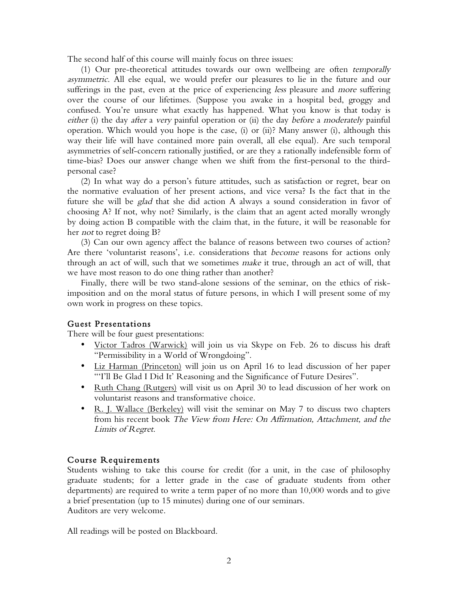The second half of this course will mainly focus on three issues:

(1) Our pre-theoretical attitudes towards our own wellbeing are often temporally asymmetric. All else equal, we would prefer our pleasures to lie in the future and our sufferings in the past, even at the price of experiencing less pleasure and *more* suffering over the course of our lifetimes. (Suppose you awake in a hospital bed, groggy and confused. You're unsure what exactly has happened. What you know is that today is either (i) the day *after* a very painful operation or (ii) the day *before* a *moderately* painful operation. Which would you hope is the case, (i) or (ii)? Many answer (i), although this way their life will have contained more pain overall, all else equal). Are such temporal asymmetries of self-concern rationally justified, or are they a rationally indefensible form of time-bias? Does our answer change when we shift from the first-personal to the thirdpersonal case?

(2) In what way do a person's future attitudes, such as satisfaction or regret, bear on the normative evaluation of her present actions, and vice versa? Is the fact that in the future she will be glad that she did action A always a sound consideration in favor of choosing A? If not, why not? Similarly, is the claim that an agent acted morally wrongly by doing action B compatible with the claim that, in the future, it will be reasonable for her not to regret doing B?

(3) Can our own agency affect the balance of reasons between two courses of action? Are there 'voluntarist reasons', i.e. considerations that become reasons for actions only through an act of will, such that we sometimes make it true, through an act of will, that we have most reason to do one thing rather than another?

 Finally, there will be two stand-alone sessions of the seminar, on the ethics of riskimposition and on the moral status of future persons, in which I will present some of my own work in progress on these topics.

#### Guest Presentations

There will be four guest presentations:

- Victor Tadros (Warwick) will join us via Skype on Feb. 26 to discuss his draft "Permissibility in a World of Wrongdoing".
- Liz Harman (Princeton) will join us on April 16 to lead discussion of her paper "'I'll Be Glad I Did It' Reasoning and the Significance of Future Desires".
- Ruth Chang (Rutgers) will visit us on April 30 to lead discussion of her work on voluntarist reasons and transformative choice.
- R. J. Wallace (Berkeley) will visit the seminar on May 7 to discuss two chapters from his recent book The View from Here: On Affirmation, Attachment, and the Limits of Regret.

#### Course Requirements

Students wishing to take this course for credit (for a unit, in the case of philosophy graduate students; for a letter grade in the case of graduate students from other departments) are required to write a term paper of no more than 10,000 words and to give a brief presentation (up to 15 minutes) during one of our seminars. Auditors are very welcome.

All readings will be posted on Blackboard.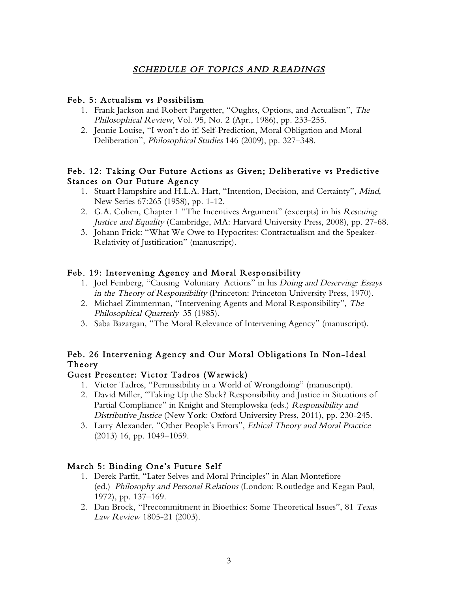# SCHEDULE OF TOPICS AND READINGS

#### Feb. 5: Actualism vs Possibilism

- 1. Frank Jackson and Robert Pargetter, "Oughts, Options, and Actualism", The Philosophical Review, Vol. 95, No. 2 (Apr., 1986), pp. 233-255.
- 2. Jennie Louise, "I won't do it! Self-Prediction, Moral Obligation and Moral Deliberation", Philosophical Studies 146 (2009), pp. 327–348.

### Feb. 12: Taking Our Future Actions as Given; Deliberative vs Predictive Stances on Our Future Agency

- 1. Stuart Hampshire and H.L.A. Hart, "Intention, Decision, and Certainty", Mind, New Series 67:265 (1958), pp. 1-12.
- 2. G.A. Cohen, Chapter 1 "The Incentives Argument" (excerpts) in his Rescuing Justice and Equality (Cambridge, MA: Harvard University Press, 2008), pp. 27-68.
- 3. Johann Frick: "What We Owe to Hypocrites: Contractualism and the Speaker-Relativity of Justification" (manuscript).

#### Feb. 19: Intervening Agency and Moral Responsibility

- 1. Joel Feinberg, "Causing Voluntary Actions" in his Doing and Deserving: Essays in the Theory of Responsibility (Princeton: Princeton University Press, 1970).
- 2. Michael Zimmerman, "Intervening Agents and Moral Responsibility", The Philosophical Quarterly 35 (1985).
- 3. Saba Bazargan, "The Moral Relevance of Intervening Agency" (manuscript).

## Feb. 26 Intervening Agency and Our Moral Obligations In Non-Ideal Theory

#### Guest Presenter: Victor Tadros (Warwick)

- 1. Victor Tadros, "Permissibility in a World of Wrongdoing" (manuscript).
- 2. David Miller, "Taking Up the Slack? Responsibility and Justice in Situations of Partial Compliance" in Knight and Stemplowska (eds.) Responsibility and Distributive Justice (New York: Oxford University Press, 2011), pp. 230-245.
- 3. Larry Alexander, "Other People's Errors", Ethical Theory and Moral Practice (2013) 16, pp. 1049–1059.

#### March 5: Binding One's Future Self

- 1. Derek Parfit, "Later Selves and Moral Principles" in Alan Montefiore (ed.) Philosophy and Personal Relations (London: Routledge and Kegan Paul, 1972), pp. 137–169.
- 2. Dan Brock, "Precommitment in Bioethics: Some Theoretical Issues", 81 Texas Law Review 1805-21 (2003).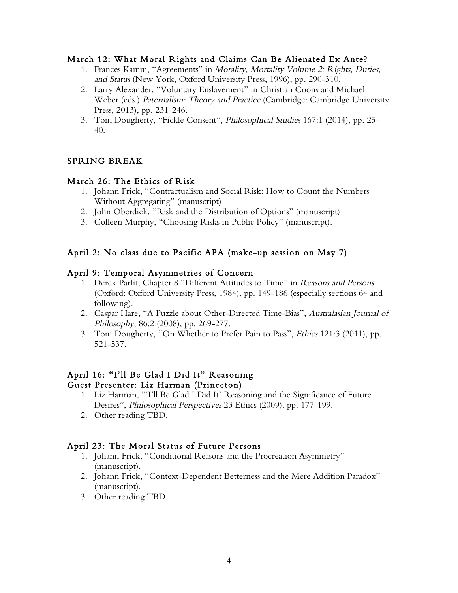#### March 12: What Moral Rights and Claims Can Be Alienated Ex Ante?

- 1. Frances Kamm, "Agreements" in Morality, Mortality Volume 2: Rights, Duties, and Status (New York, Oxford University Press, 1996), pp. 290-310.
- 2. Larry Alexander, "Voluntary Enslavement" in Christian Coons and Michael Weber (eds.) Paternalism: Theory and Practice (Cambridge: Cambridge University Press, 2013), pp. 231-246.
- 3. Tom Dougherty, "Fickle Consent", Philosophical Studies 167:1 (2014), pp. 25- 40.

#### SPRING BREAK

#### March 26: The Ethics of Risk

- 1. Johann Frick, "Contractualism and Social Risk: How to Count the Numbers Without Aggregating" (manuscript)
- 2. John Oberdiek, "Risk and the Distribution of Options" (manuscript)
- 3. Colleen Murphy, "Choosing Risks in Public Policy" (manuscript).

#### April 2: No class due to Pacific APA (make-up session on May 7)

#### April 9: Temporal Asymmetries of Concern

- 1. Derek Parfit, Chapter 8 "Different Attitudes to Time" in Reasons and Persons (Oxford: Oxford University Press, 1984), pp. 149-186 (especially sections 64 and following).
- 2. Caspar Hare, "A Puzzle about Other-Directed Time-Bias", Australasian Journal of Philosophy, 86:2 (2008), pp. 269-277.
- 3. Tom Dougherty, "On Whether to Prefer Pain to Pass", Ethics 121:3 (2011), pp. 521-537.

#### April 16: "I'll Be Glad I Did It" Reasoning Guest Presenter: Liz Harman (Princeton)

- 1. Liz Harman, "'I'll Be Glad I Did It' Reasoning and the Significance of Future Desires", Philosophical Perspectives 23 Ethics (2009), pp. 177-199.
- 2. Other reading TBD.

#### April 23: The Moral Status of Future Persons

- 1. Johann Frick, "Conditional Reasons and the Procreation Asymmetry" (manuscript).
- 2. Johann Frick, "Context-Dependent Betterness and the Mere Addition Paradox" (manuscript).
- 3. Other reading TBD.